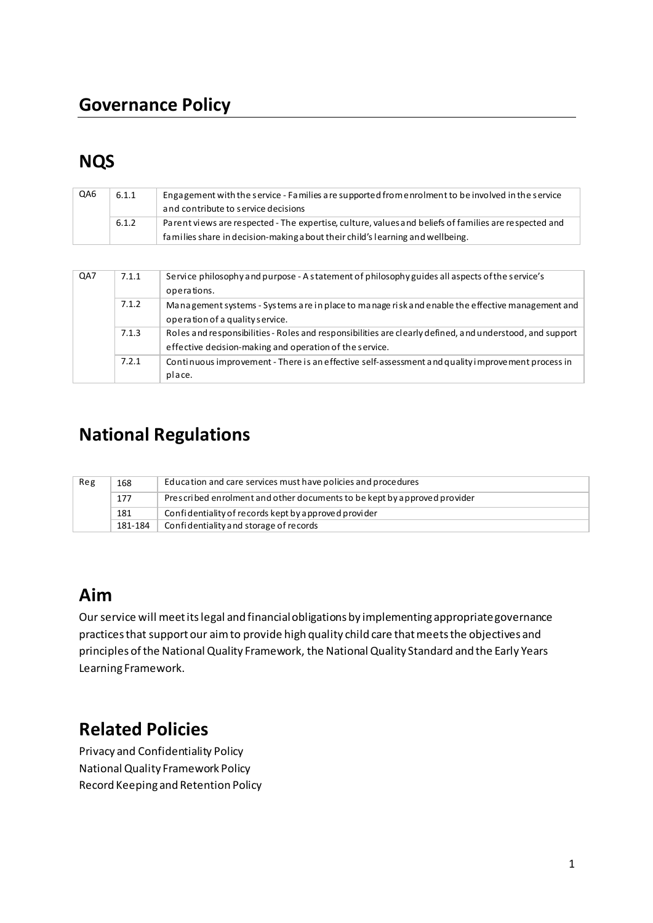## **Governance Policy**

# **NQS**

| QA6 | 6.1.1 | Engagement with the service - Families are supported from enrolment to be involved in the service     |
|-----|-------|-------------------------------------------------------------------------------------------------------|
|     |       | and contribute to service decisions                                                                   |
|     | 6.1.2 | Parent views are respected - The expertise, culture, values and beliefs of families are respected and |
|     |       | families share in decision-making a bout their child's learning and wellbeing.                        |

| QA7 | 7.1.1 | Service philosophy and purpose - A statement of philosophy guides all aspects of the service's<br>operations.                                                       |
|-----|-------|---------------------------------------------------------------------------------------------------------------------------------------------------------------------|
|     | 7.1.2 | Management systems - Systems are in place to manage risk and enable the effective management and<br>operation of a quality service.                                 |
|     | 7.1.3 | Roles and responsibilities - Roles and responsibilities are clearly defined, and understood, and support<br>effective decision-making and operation of the service. |
|     | 7.2.1 | Continuous improvement - There is an effective self-assessment and quality improvement process in<br>place.                                                         |

# **National Regulations**

| Reg | 168     | Education and care services must have policies and procedures             |
|-----|---------|---------------------------------------------------------------------------|
|     | 177     | Prescribed enrolment and other documents to be kept by a pproved provider |
|     | 181     | Confidentiality of records kept by a pproved provider                     |
|     | 181-184 | Confidentiality and storage of records                                    |

## **Aim**

Our service will meet its legal and financial obligations by implementing appropriate governance practices that support our aim to provide high quality child care that meets the objectives and principles of the National Quality Framework, the National Quality Standard and the Early Years Learning Framework.

# **Related Policies**

Privacy and Confidentiality Policy National Quality Framework Policy Record Keeping and Retention Policy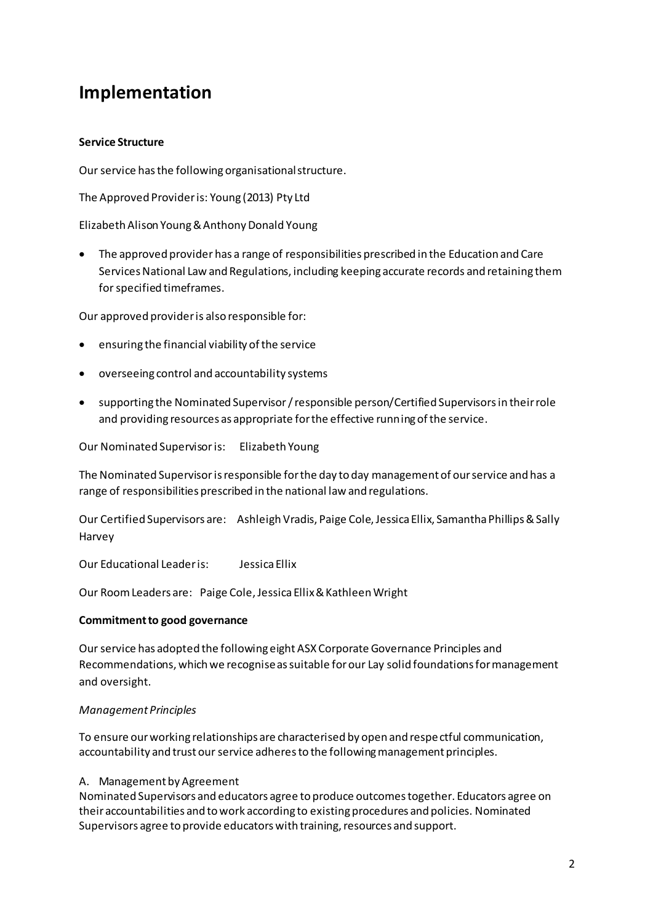## **Implementation**

### **Service Structure**

Our service has the following organisational structure.

The Approved Provider is: Young (2013) Pty Ltd

Elizabeth Alison Young & Anthony Donald Young

• The approved provider has a range of responsibilities prescribed in the Education and Care Services National Law and Regulations, including keeping accurate records and retaining them for specified timeframes.

Our approved provider is also responsible for:

- ensuring the financial viability of the service
- overseeing control and accountability systems
- supporting the Nominated Supervisor / responsible person/Certified Supervisors in their role and providing resources as appropriate for the effective running of the service.

Our Nominated Supervisor is: Elizabeth Young

The Nominated Supervisor is responsible for the day to day management of our service and has a range of responsibilities prescribed in the national law and regulations.

Our Certified Supervisors are: Ashleigh Vradis, Paige Cole, Jessica Ellix, Samantha Phillips & Sally Harvey

Our Educational Leader is: Jessica Ellix

Our Room Leaders are: Paige Cole, Jessica Ellix & Kathleen Wright

#### **Commitment to good governance**

Our service has adopted the following eight ASX Corporate Governance Principles and Recommendations, which we recognise as suitable for our Lay solid foundations for management and oversight.

#### *Management Principles*

To ensure our working relationships are characterised by open and respe ctful communication, accountability and trust our service adheres to the following management principles.

#### A. Management by Agreement

Nominated Supervisors and educators agree to produce outcomes together. Educators agree on their accountabilities and to work according to existing procedures and policies. Nominated Supervisors agree to provide educators with training, resources and support.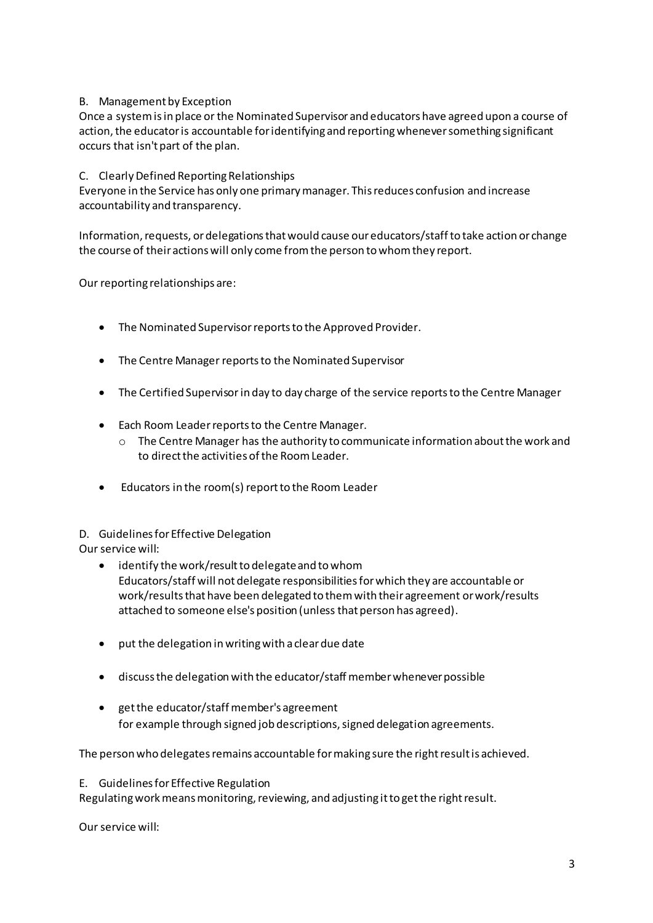### B. Management by Exception

Once a system is in place or the Nominated Supervisor and educators have agreed upon a course of action, the educator is accountable for identifying and reporting whenever something significant occurs that isn't part of the plan.

### C. Clearly Defined Reporting Relationships

Everyone in the Service has only one primary manager. This reduces confusion and increase accountability and transparency.

Information, requests, or delegations that would cause our educators/staff to take action or change the course of their actions will only come from the person to whom they report.

Our reporting relationships are:

- The Nominated Supervisor reports to the Approved Provider.
- The Centre Manager reports to the Nominated Supervisor
- The Certified Supervisor in day to day charge of the service reports to the Centre Manager
- Each Room Leader reports to the Centre Manager.
	- $\circ$  The Centre Manager has the authority to communicate information about the work and to direct the activities of the Room Leader.
- Educators in the room(s) report to the Room Leader

### D. Guidelines for Effective Delegation

Our service will:

- identify the work/result to delegate and to whom Educators/staff will not delegate responsibilities for which they are accountable or work/results that have been delegated to them with their agreement or work/results attached to someone else's position (unless that person has agreed).
- put the delegation in writing with a clear due date
- discuss the delegation with the educator/staff member whenever possible
- get the educator/staff member's agreement for example through signed job descriptions, signed delegation agreements.

The person who delegates remains accountable for making sure the right result is achieved.

#### E. Guidelines for Effective Regulation

Regulating work means monitoring, reviewing, and adjusting it to get the right result.

Our service will: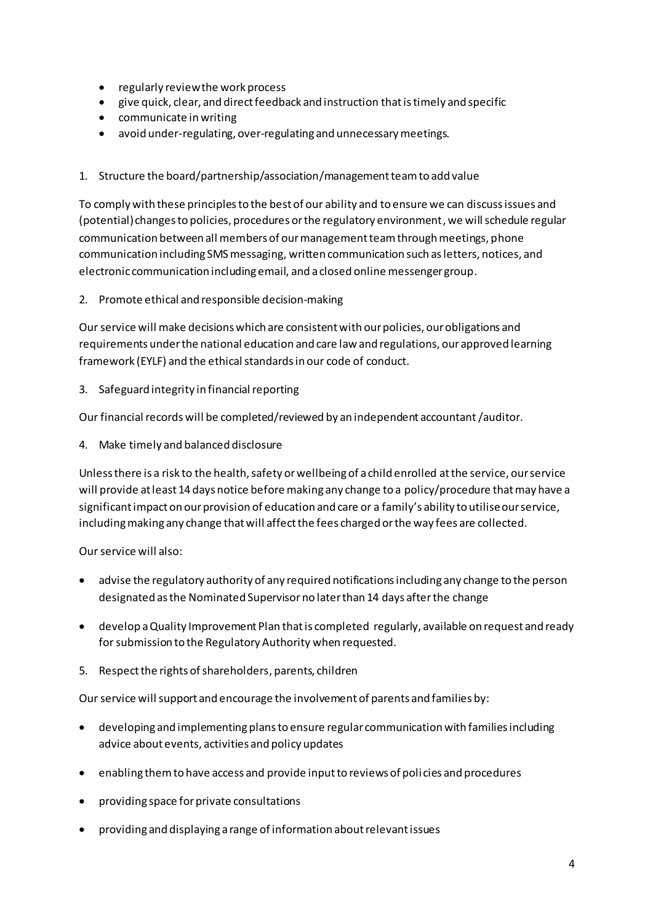- regularly review the work process
- give quick, clear, and direct feedback and instruction that is timely and specific
- communicate in writing
- avoid under-regulating, over-regulating and unnecessary meetings.
- 1. Structure the board/partnership/association/management team to add value

To comply with these principles to the best of our ability and to ensure we can discuss issues and (potential) changes to policies, procedures or the regulatory environment, we will schedule regular communication between all members of our management team through meetings, phone communication including SMS messaging, written communication such as letters, notices, and electronic communication including email, and a closed online messenger group.

2. Promote ethical and responsible decision-making

Our service will make decisions which are consistent with our policies, our obligations and requirements under the national education and care law and regulations, our approved learning framework (EYLF) and the ethical standards in our code of conduct.

3. Safeguard integrity in financial reporting

Our financial records will be completed/reviewed by an independent accountant /auditor.

4. Make timely and balanced disclosure

Unless there is a risk to the health, safety or wellbeing of a child enrolled at the service, our service will provide at least 14 days notice before making any change to a policy/procedure that may have a significant impact on our provision of education and care or a family's ability to utilise our service, including making any change that will affect the fees charged or the way fees are collected.

Our service will also:

- advise the regulatory authority of any required notifications including any change to the person designated as the Nominated Supervisor no later than 14 days after the change
- develop a Quality Improvement Plan that is completed regularly, available on request and ready for submission to the Regulatory Authority when requested.
- 5. Respect the rights of shareholders, parents, children

Our service will support and encourage the involvement of parents and families by:

- developing and implementing plans to ensure regular communication with families including advice about events, activities and policy updates
- enabling them to have access and provide input to reviews of policies and procedures
- providing space for private consultations
- providing and displaying a range of information about relevant issues